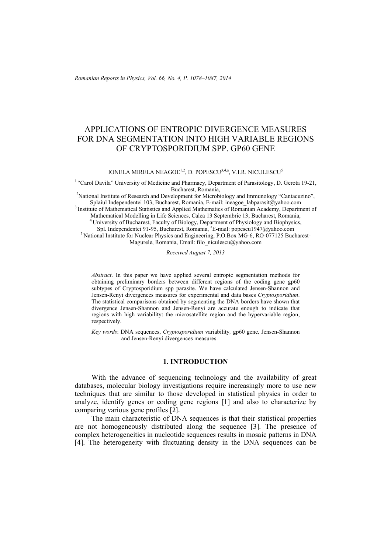*Romanian Reports in Physics, Vol. 66, No. 4, P. 1078–1087, 2014*

# APPLICATIONS OF ENTROPIC DIVERGENCE MEASURES FOR DNA SEGMENTATION INTO HIGH VARIABLE REGIONS OF CRYPTOSPORIDIUM SPP. GP60 GENE

IONELA MIRELA NEAGOE<sup>1,2</sup>, D. POPESCU<sup>3,4,a</sup>, V.I.R. NICULESCU<sup>5</sup>

<sup>1</sup> "Carol Davila" University of Medicine and Pharmacy, Department of Parasitology, D. Gerota 19-21, Bucharest, Romania,

<sup>2</sup>National Institute of Research and Development for Microbiology and Immunology "Cantacuzino",

Splaiul Independentei 103, Bucharest, Romania, E-mail: ineagoe\_labparasit@yahoo.com<br>
<sup>3</sup> Institute of Mathematical Statistics and Applied Mathematics of Romanian Academy, Department of<br>
Mathematical Modelling in Life Scien

<sup>4</sup> University of Bucharest, Faculty of Biology, Department of Physiology and Biophysics, Spl. Independentei 91-95, Bucharest, Romania, <sup>a</sup>E-mail: popescu1947@yahoo.com

 $<sup>5</sup>$ National Institute for Nuclear Physics and Engineering, P.O.Box MG-6, RO-077125 Bucharest-</sup> Magurele, Romania, Email: filo\_niculescu@yahoo.com

*Received August 7, 2013* 

*Abstract*. In this paper we have applied several entropic segmentation methods for obtaining preliminary borders between different regions of the coding gene gp60 subtypes of Cryptosporidium spp parasite. We have calculated Jensen-Shannon and Jensen-Renyi divergences measures for experimental and data bases *Cryptosporidium*. The statistical comparisons obtained by segmenting the DNA borders have shown that divergence Jensen-Shannon and Jensen-Renyi are accurate enough to indicate that regions with high variability: the microsatellite region and the hypervariable region, respectively.

*Key words*: DNA sequences, *Cryptosporidium* variability*,* gp60 gene*,* Jensen-Shannon and Jensen-Renyi divergences measures.

# **1. INTRODUCTION**

With the advance of sequencing technology and the availability of great databases, molecular biology investigations require increasingly more to use new techniques that are similar to those developed in statistical physics in order to analyze, identify genes or coding gene regions [1] and also to characterize by comparing various gene profiles [2].

The main characteristic of DNA sequences is that their statistical properties are not homogeneously distributed along the sequence [3]. The presence of complex heterogeneities in nucleotide sequences results in mosaic patterns in DNA [4]. The heterogeneity with fluctuating density in the DNA sequences can be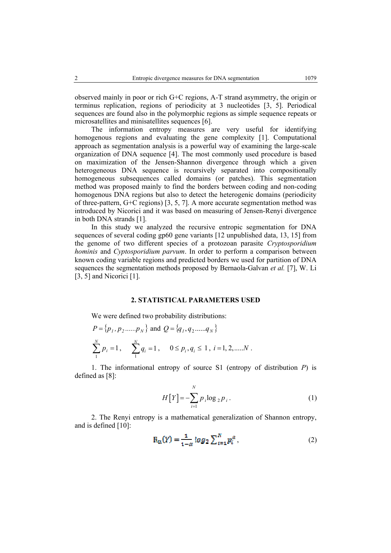observed mainly in poor or rich G+C regions, A-T strand asymmetry, the origin or terminus replication, regions of periodicity at 3 nucleotides [3, 5]. Periodical sequences are found also in the polymorphic regions as simple sequence repeats or microsatellites and minisatellites sequences [6].

The information entropy measures are very useful for identifying homogenous regions and evaluating the gene complexity [1]. Computational approach as segmentation analysis is a powerful way of examining the large-scale organization of DNA sequence [4]. The most commonly used procedure is based on maximization of the Jensen-Shannon divergence through which a given heterogeneous DNA sequence is recursively separated into compositionally homogeneous subsequences called domains (or patches). This segmentation method was proposed mainly to find the borders between coding and non-coding homogenous DNA regions but also to detect the heterogenic domains (periodicity of three-pattern, G+C regions) [3, 5, 7]. A more accurate segmentation method was introduced by Nicorici and it was based on measuring of Jensen-Renyi divergence in both DNA strands [1].

In this study we analyzed the recursive entropic segmentation for DNA sequences of several coding gp60 gene variants [12 unpublished data, 13, 15] from the genome of two different species of a protozoan parasite *Cryptosporidium hominis* and *Cyptosporidium parvum*. In order to perform a comparison between known coding variable regions and predicted borders we used for partition of DNA sequences the segmentation methods proposed by Bernaola-Galvan *et al.* [7], W. Li [3, 5] and Nicorici [1].

# **2. STATISTICAL PARAMETERS USED**

We were defined two probability distributions:

$$
P = \{p_1, p_2, \dots, p_N\} \text{ and } Q = \{q_1, q_2, \dots, q_N\}
$$
  

$$
\sum_{i=1}^{N} p_i = 1, \quad \sum_{i=1}^{N} q_i = 1, \quad 0 \le p_i, q_i \le 1, i = 1, 2, \dots N.
$$

1. The informational entropy of source S1 (entropy of distribution *P*) is defined as [8]:

$$
H[Y] = -\sum_{i=1}^{N} p_i \log_2 p_i.
$$
 (1)

2. The Renyi entropy is a mathematical generalization of Shannon entropy, and is defined [10]:

$$
R_{\alpha}(Y) = \frac{1}{1-\alpha} \log_2 \sum_{i=1}^{N} p_i^{\alpha}, \qquad (2)
$$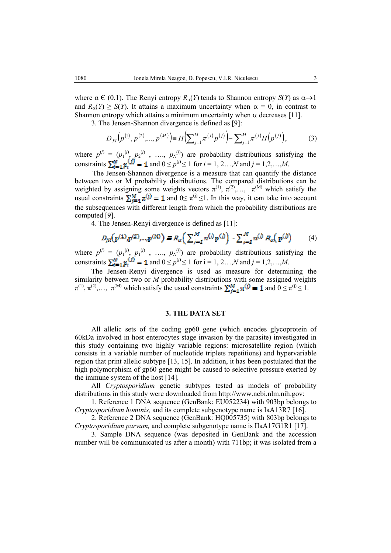where  $\alpha \in (0,1)$ . The Renyi entropy  $R_{\alpha}(Y)$  tends to Shannon entropy  $S(Y)$  as  $\alpha \rightarrow 1$ and  $R_{\alpha}(Y) \ge S(Y)$ . It attains a maximum uncertainty when  $\alpha = 0$ , in contrast to Shannon entropy which attains a minimum uncertainty when  $\alpha$  decreases [11].

3. The Jensen-Shannon divergence is defined as [9]:

$$
D_{JS}(p^{(1)}, p^{(2)},..., p^{(M)}) \equiv H\left(\sum_{j=1}^{M} \pi^{(j)} p^{(j)}\right) - \sum_{j=1}^{M} \pi^{(j)} H\left(p^{(j)}\right),\tag{3}
$$

where  $p^{(j)} = (p_1^{(j)}, p_2^{(j)}, \ldots, p_N^{(j)})$  are probability distributions satisfying the constraints  $\sum_{i=1}^{N} p_i^{(j)} = 1$  and  $0 \le p^{(j)} \le 1$  for  $i = 1, 2, ..., N$  and  $j = 1, 2, ..., M$ .

The Jensen-Shannon divergence is a measure that can quantify the distance between two or M probability distributions. The compared distributions can be weighted by assigning some weights vectors  $\pi^{(1)}$ ,  $\pi^{(2)}$ ,...,  $\pi^{(M)}$  which satisfy the usual constraints  $\sum_{i=1}^{M} \pi^{(j)} = 1$  and  $0 \le \pi^{(j)} \le 1$ . In this way, it can take into account the subsequences with different length from which the probability distributions are computed [9].

4. The Jensen-Renyi divergence is defined as [11]:

$$
D_{fR}(p^{(1)},p^{(2)},...,p^{(M)}) \equiv R_{ii} \left( \sum_{j=1}^{M} \pi^{(j)} p^{(j)} \right) - \sum_{j=1}^{M} \pi^{(j)} R_{ii} (p^{(j)}) \tag{4}
$$

where  $p^{(j)} = (p_1^{(j)}, p_1^{(j)}, \ldots, p_N^{(j)})$  are probability distributions satisfying the constraints  $\sum_{i=1}^{N} p_i^{(j)} = 1$  and  $0 \le p^{(j)} \le 1$  for  $i = 1, 2, ..., N$  and  $j = 1, 2, ..., M$ .

The Jensen-Renyi divergence is used as measure for determining the similarity between two or *M* probability distributions with some assigned weights  $\pi^{(1)}, \pi^{(2)}, \ldots, \pi^{(M)}$  which satisfy the usual constraints  $\sum_{i=1}^{M} \pi^{(i)} = 1$  and  $0 \le \pi^{(i)} \le 1$ .

## **3. THE DATA SET**

All allelic sets of the coding gp60 gene (which encodes glycoprotein of 60kDa involved in host enterocytes stage invasion by the parasite) investigated in this study containing two highly variable regions: microsatellite region (which consists in a variable number of nucleotide triplets repetitions) and hypervariable region that print allelic subtype [13, 15]. In addition, it has been postulated that the high polymorphism of gp60 gene might be caused to selective pressure exerted by the immune system of the host [14].

All *Cryptosporidium* genetic subtypes tested as models of probability distributions in this study were downloaded from http://www.ncbi.nlm.nih.gov:

1. Reference 1 DNA sequence (GenBank: EU052234) with 903bp belongs to *Cryptosporidium hominis,* and its complete subgenotype name is IaA13R7 [16].

2. Reference 2 DNA sequence (GenBank: HQ005735) with 803bp belongs to *Cryptosporidium parvum,* and complete subgenotype name is IIaA17G1R1 [17].

3. Sample DNA sequence (was deposited in GenBank and the accession number will be communicated us after a month) with 711bp; it was isolated from a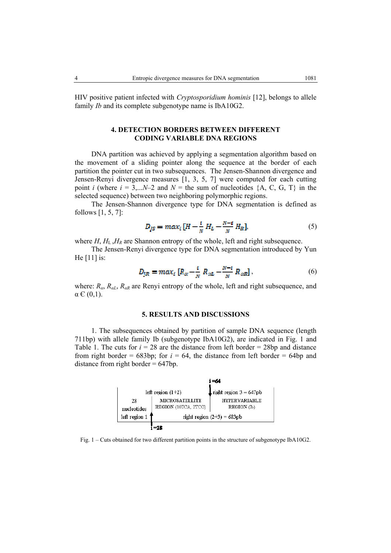HIV positive patient infected with *Cryptosporidium hominis* [12], belongs to allele family *Ib* and its complete subgenotype name is IbA10G2.

# **4. DETECTION BORDERS BETWEEN DIFFERENT CODING VARIABLE DNA REGIONS**

DNA partition was achieved by applying a segmentation algorithm based on the movement of a sliding pointer along the sequence at the border of each partition the pointer cut in two subsequences. The Jensen-Shannon divergence and Jensen-Renyi divergence measures [1, 3, 5, 7] were computed for each cutting point *i* (where  $i = 3,...N-2$  and  $N =$  the sum of nucleotides  $\{A, C, G, T\}$  in the selected sequence) between two neighboring polymorphic regions.

The Jensen-Shannon divergence type for DNA segmentation is defined as follows [1, 5, 7]:

$$
D_{JS} = max_i [H - \frac{i}{N} H_L - \frac{N-i}{N} H_R],
$$
 (5)

where  $H$ ,  $H_L$ ,  $H_R$  are Shannon entropy of the whole, left and right subsequence.

The Jensen-Renyi divergence type for DNA segmentation introduced by Yun He [11] is:

$$
D_{IR} = max_i \left[ R_{\alpha} - \frac{i}{N} R_{\alpha L} - \frac{N-i}{N} R_{\alpha R} \right],
$$
 (6)

where:  $R_{\alpha}$ ,  $R_{\alpha}$ ,  $R_{\alpha}$  are Renyi entropy of the whole, left and right subsequence, and  $\alpha \in (0,1)$ .

# **5. RESULTS AND DISCUSSIONS**

1. The subsequences obtained by partition of sample DNA sequence (length 711bp) with allele family Ib (subgenotype IbA10G2), are indicated in Fig. 1 and Table 1. The cuts for  $i = 28$  are the distance from left border = 28bp and distance from right border =  $683bp$ ; for  $i = 64$ , the distance from left border =  $64bp$  and distance from right border  $= 647bp$ .

|                   |                                               | -64                                         |
|-------------------|-----------------------------------------------|---------------------------------------------|
|                   | left region $(1+2)$                           | right region $3 = 647$ pb                   |
| 28<br>nucleotides | <b>MICROSATELLITE</b><br>REGION (10TCA, 2TCG) | <b>HYPERVARIARI.E</b><br><b>REGION</b> (Ib) |
| left region 1     |                                               | right region $(2+3) = 683pb$                |
|                   |                                               |                                             |

Fig. 1 – Cuts obtained for two different partition points in the structure of subgenotype IbA10G2.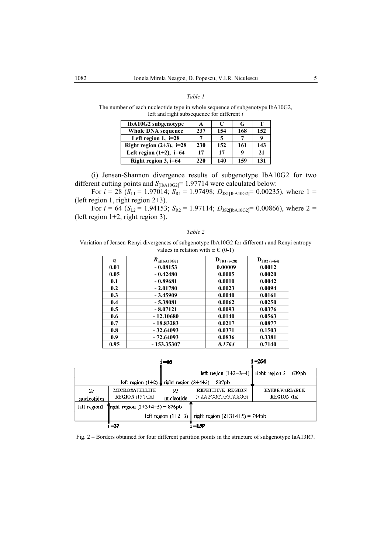### *Table 1*

The number of each nucleotide type in whole sequence of subgenotype IbA10G2, left and right subsequence for different *i*

| IbA10G2 subgenotype         | A   | €   | G   | т   |
|-----------------------------|-----|-----|-----|-----|
| <b>Whole DNA sequence</b>   | 237 | 154 | 168 | 152 |
| Left region 1, $i=28$       |     |     |     | Q   |
| Right region $(2+3)$ , i=28 | 230 | 152 | 161 | 143 |
| Left region $(1+2)$ , i=64  | 17  | 17  | q   | 21  |
| Right region $3$ , i=64     | 220 | 140 | 159 | 131 |

(i) Jensen-Shannon divergence results of subgenotype IbA10G2 for two different cutting points and  $S_{[IbA10G2]}$  = 1.97714 were calculated below:

For  $i = 28$  ( $S_{L1} = 1.97014$ ;  $S_{R1} = 1.97498$ ;  $D_{JS1}$ [[bA10G2]<sup>= 0.00235), where 1 =</sup> (left region 1, right region 2+3).

For  $i = 64$  ( $S_{L2} = 1.94153$ ;  $S_{R2} = 1.97114$ ;  $D_{JS2|IbA10G2|} = 0.00866$ ), where 2 = (left region 1+2, right region 3).

#### *Table 2*

Variation of Jensen-Renyi divergences of subgenotype IbA10G2 for different *i* and Renyi entropy values in relation with  $\alpha \in (0-1)$ 

| α    | $R_{\alpha\text{[IbA10G2]}}$ | $D_{JR1 (i=28)}$ | $D_{JR2 (i=64)}$ |
|------|------------------------------|------------------|------------------|
| 0.01 | $-0.08153$                   | 0.00009          | 0.0012           |
| 0.05 | $-0.42480$                   | 0.0005           | 0.0020           |
| 0.1  | $-0.89681$                   | 0.0010           | 0.0042           |
| 0.2  | $-2.01780$                   | 0.0023           | 0.0094           |
| 0.3  | $-3.45909$                   | 0.0040           | 0.0161           |
| 0.4  | $-5.38081$                   | 0.0062           | 0.0250           |
| 0.5  | $-8.07121$                   | 0.0093           | 0.0376           |
| 0.6  | $-12.10680$                  | 0.0140           | 0.0563           |
| 0.7  | $-18.83283$                  | 0.0217           | 0.0877           |
| 0.8  | $-32.64093$                  | 0.0371           | 0.1503           |
| 0.9  | $-72.64093$                  | 0.0836           | 0.3381           |
| 0.95 | $-153.35307$                 | 0.1764           | 0.7140           |

|                   |                                                    | i =66            |                                                | i =264                              |
|-------------------|----------------------------------------------------|------------------|------------------------------------------------|-------------------------------------|
|                   |                                                    |                  | left region $(1+2-3-4)$                        | right region $5 = 639pb$            |
|                   | left region $(1+2)$ inght region $(3+4+5) = 837pb$ |                  |                                                |                                     |
| 27<br>nucleotides | <b>MICROSATELLITE</b><br><b>REGION</b> (13 TCA)    | 93<br>nucleotide | <b>REPETITIVE REGION</b><br>(/ AAGCGCICGTAAGG) | <b>HYPERVARIARLE</b><br>REGION (Ia) |
| left region1      | Tright region $(2+3+4+5) = 876$ pb                 |                  |                                                |                                     |
|                   | left region $(1+2+3)$                              |                  | right region $(2+3+4+5) = 744pb$               |                                     |
|                   | $= 27$                                             |                  | $=1.59$                                        |                                     |

Fig. 2 – Borders obtained for four different partition points in the structure of subgenotype IaA13R7.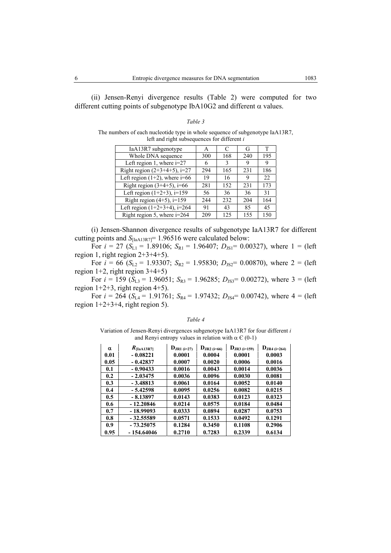(ii) Jensen-Renyi divergence results (Table 2) were computed for two different cutting points of subgenotype IbA10G2 and different  $\alpha$  values.

#### *Table 3*

The numbers of each nucleotide type in whole sequence of subgenotype IaA13R7, left and right subsequences for different *i*

| IaA13R7 subgenotype                | A   |     | G   | T   |
|------------------------------------|-----|-----|-----|-----|
| Whole DNA sequence                 | 300 | 168 | 240 | 195 |
| Left region 1, where $i=27$        | 6   | 3   | 9   | 9   |
| Right region $(2+3+4+5)$ , i=27    | 294 | 165 | 231 | 186 |
| Left region $(1+2)$ , where $i=66$ | 19  | 16  | 9   | 22  |
| Right region $(3+4+5)$ , i=66      | 281 | 152 | 231 | 173 |
| Left region $(1+2+3)$ , $i=159$    | 56  | 36  | 36  | 31  |
| Right region $(4+5)$ , i=159       | 244 | 232 | 204 | 164 |
| Left region $(1+2+3+4)$ , i=264    | 91  | 43  | 85  | 45  |
| Right region 5, where $i=264$      | 209 | 125 | 155 | 150 |

(i) Jensen-Shannon divergence results of subgenotype IaA13R7 for different cutting points and *S*<sub>[IaA13R7]</sub> = 1.96516 were calculated below:

For  $i = 27$  ( $S_{L1} = 1.89106$ ;  $S_{R1} = 1.96407$ ;  $D_{JS1} = 0.00327$ ), where 1 = (left region 1, right region 2+3+4+5).

For  $i = 66$  ( $S_{L2} = 1.93307$ ;  $S_{R2} = 1.95830$ ;  $D_{JS2} = 0.00870$ ), where  $2 =$  (left region  $1+2$ , right region  $3+4+5$ )

For  $i = 159$  ( $S_{L3} = 1.96051$ ;  $S_{R3} = 1.96285$ ;  $D_{J33} = 0.00272$ ), where 3 = (left region  $1+2+3$ , right region  $4+5$ ).

For  $i = 264$  ( $S_{L4} = 1.91761$ ;  $S_{R4} = 1.97432$ ;  $D_{J54} = 0.00742$ ), where  $4 =$  (left region  $1+2+3+4$ , right region 5).

#### *Table 4*

Variation of Jensen-Renyi divergences subgenotype IaA13R7 for four different *i* and Renyi entropy values in relation with  $\alpha \in (0-1)$ 

| α    | $R_{\text{[IaA13R7]}}$ | $D_{JR1 (i=27)}$ | ${\bf D}_{\rm JR2\ (i=66)}$ | ${\bf D}_{\rm JR3\,(i=159)}$ | $D_{JR4 (i=264)}$ |
|------|------------------------|------------------|-----------------------------|------------------------------|-------------------|
| 0.01 | $-0.08221$             | 0.0001           | 0.0004                      | 0.0001                       | 0.0003            |
| 0.05 | $-0.42837$             | 0.0007           | 0.0020                      | 0.0006                       | 0.0016            |
| 0.1  | $-0.90433$             | 0.0016           | 0.0043                      | 0.0014                       | 0.0036            |
| 0.2  | $-2.03475$             | 0.0036           | 0.0096                      | 0.0030                       | 0.0081            |
| 0.3  | $-3.48813$             | 0.0061           | 0.0164                      | 0.0052                       | 0.0140            |
| 0.4  | $-5.42598$             | 0.0095           | 0.0256                      | 0.0082                       | 0.0215            |
| 0.5  | $-8.13897$             | 0.0143           | 0.0383                      | 0.0123                       | 0.0323            |
| 0.6  | $-12.20846$            | 0.0214           | 0.0575                      | 0.0184                       | 0.0484            |
| 0.7  | - 18.99093             | 0.0333           | 0.0894                      | 0.0287                       | 0.0753            |
| 0.8  | $-32.55589$            | 0.0571           | 0.1533                      | 0.0492                       | 0.1291            |
| 0.9  | $-73.25075$            | 0.1284           | 0.3450                      | 0.1108                       | 0.2906            |
| 0.95 | $-154.64046$           | 0.2710           | 0.7283                      | 0.2339                       | 0.6134            |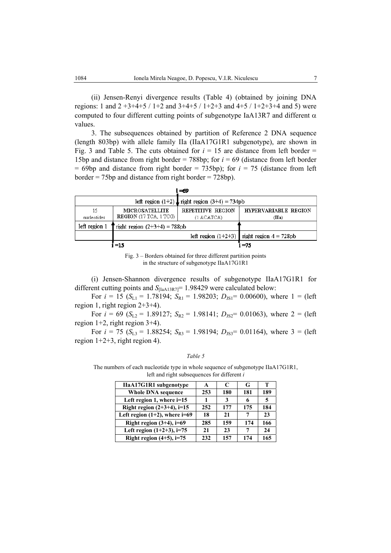(ii) Jensen-Renyi divergence results (Table 4) (obtained by joining DNA regions: 1 and  $2 +3+4+5$  /  $1+2$  and  $3+4+5$  /  $1+2+3$  and  $4+5$  /  $1+2+3+4$  and 5) were computed to four different cutting points of subgenotype IaA13R7 and different  $\alpha$ values.

3. The subsequences obtained by partition of Reference 2 DNA sequence (length 803bp) with allele family IIa (IIaA17G1R1 subgenotype), are shown in Fig. 3 and Table 5. The cuts obtained for  $i = 15$  are distance from left border  $=$ 15bp and distance from right border = 788bp; for *i* = 69 (distance from left border  $= 69bp$  and distance from right border  $= 735bp$ ; for  $i = 75$  (distance from left border = 75bp and distance from right border = 728bp).

|                   |                                                 | i =69                                               |                                                    |
|-------------------|-------------------------------------------------|-----------------------------------------------------|----------------------------------------------------|
|                   |                                                 | left region $(1+2)$ , right region $(3+4) = 734$ pb |                                                    |
| 15<br>nucleotides | <b>MICROSATELLITE</b><br>REGION (17 TCA, 1 TCG) | <b>REPETITIVE REGION</b><br>(1 ACATCA)              | HYPERVARIARLE REGION<br>$( \mathbf{I} \mathbf{a})$ |
| left region 1     | right region $(2+3+4) = 788$ pb                 |                                                     |                                                    |
|                   |                                                 |                                                     | left region $(1+2+3)$ right region $4 = 728pb$     |
|                   | $-15$                                           |                                                     | -75                                                |

Fig. 3 – Borders obtained for three different partition points in the structure of subgenotype IIaA17G1R1

(i) Jensen-Shannon divergence results of subgenotype IIaA17G1R1 for different cutting points and *S*<sub>[IaA13R7]</sub>= 1.98429 were calculated below:

For  $i = 15$  ( $S_{L1} = 1.78194$ ;  $S_{R1} = 1.98203$ ;  $D_{JS1} = 0.00600$ ), where  $1 =$  (left region 1, right region 2+3+4).

For  $i = 69$  ( $S_{L2} = 1.89127$ ;  $S_{R2} = 1.98141$ ;  $D_{J52} = 0.01063$ ), where  $2 =$  (left region  $1+2$ , right region  $3+4$ ).

For  $i = 75$  ( $S_{L3} = 1.88254$ ;  $S_{R3} = 1.98194$ ;  $D_{J53} = 0.01164$ ), where 3 = (left region  $1+2+3$ , right region 4).

### *Table 5*

The numbers of each nucleotide type in whole sequence of subgenotype IIaA17G1R1, left and right subsequences for different *i*

| <b>HaA17G1R1</b> subgenotype       | A   | C   | G   | т   |
|------------------------------------|-----|-----|-----|-----|
| <b>Whole DNA sequence</b>          | 253 | 180 | 181 | 189 |
| Left region 1, where $i=15$        |     | 3   | 6   |     |
| Right region $(2+3+4)$ , i=15      | 252 | 177 | 175 | 184 |
| Left region $(1+2)$ , where $i=69$ | 18  | 21  | 7   | 23  |
| Right region $(3+4)$ , i=69        | 285 | 159 | 174 | 166 |
| Left region $(1+2+3)$ , i=75       | 21  | 23  | 7   | 24  |
| Right region $(4+5)$ , i=75        | 232 | 157 | 174 | 165 |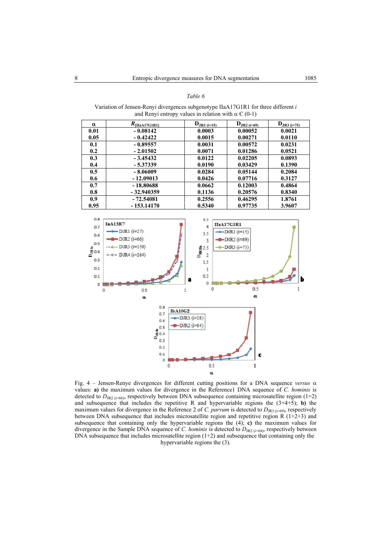|                     | and Renyi entropy values in relation with $\alpha \in (0-1)$ |                                              |                               |                  |
|---------------------|--------------------------------------------------------------|----------------------------------------------|-------------------------------|------------------|
| α                   | $R_{\text{[IIaA17G1R1]}}$                                    | ${\bf D}_{JRI (i=15)}$                       | ${\bf D}_{\text{JR2 (i=69)}}$ | $D_{JR3 (i=75)}$ |
| 0.01                | $-0.08142$                                                   | 0.0003                                       | 0.00052                       | 0.0021           |
| 0.05                | $-0.42422$                                                   | 0.0015                                       | 0.00271                       | 0.0110           |
| 0.1                 | $-0.89557$                                                   | 0.0031                                       | 0.00572                       | 0.0231           |
| 0.2                 | $-2.01502$                                                   | 0.0071                                       | 0.01286                       | 0.0521           |
| 0.3                 | $-3.45432$                                                   | 0.0122                                       | 0.02205                       | 0.0893           |
| 0.4                 | $-5.37339$                                                   | 0.0190                                       | 0.03429                       | 0.1390           |
| 0.5                 | $-8.06009$                                                   | 0.0284                                       | 0.05144                       | 0.2084           |
| 0.6                 | $-12.09013$                                                  | 0.0426                                       | 0.07716                       | 0.3127           |
| 0.7                 | $-18.80688$                                                  | 0.0662                                       | 0.12003                       | 0.4864           |
| 0.8                 | $-32.940359$                                                 | 0.1136                                       | 0.20576                       | 0.8340           |
| 0.9                 | $-72.54081$                                                  | 0.2556                                       | 0.46295                       | 1.8761           |
| 0.95                | $-153.14170$                                                 | 0.5340                                       | 0.97735                       | 3.9607           |
|                     |                                                              |                                              |                               |                  |
| 0.8                 |                                                              | 4.5                                          |                               |                  |
| 0.7                 | <b>IaA13R7</b>                                               | 4                                            | <b>HaA17G1R1</b>              |                  |
| 0.6                 | $-DJRI$ ( $i=27$ )                                           | 3.5                                          | $-DR1$ ( $i=15$ )             |                  |
|                     | $-DIR2$ (i=66)                                               | ٩                                            | DJR2 (i=69)                   |                  |
| 0.5                 | $\triangle$ · DJR3 (i=159)                                   |                                              | $-DR3$ ( $i=75$ )             |                  |
| $\frac{4}{5}$ 0.4   | $ \#$ - DJR4 (i=264)                                         | $\begin{array}{c} 2.5 \\ 8 \\ 2 \end{array}$ |                               |                  |
| 0.3                 |                                                              | 1.5                                          |                               |                  |
| 0.2                 |                                                              | ı                                            |                               |                  |
| 0.1                 |                                                              | 0,5                                          |                               |                  |
|                     |                                                              | $\blacksquare$<br>$\bullet$                  |                               | Ь                |
| 0 <sub>0</sub><br>0 | 0.5                                                          | 0<br>$\mathbf{1}$                            | 0.5                           | 1                |
|                     | a.                                                           |                                              | α                             |                  |
|                     |                                                              |                                              |                               |                  |
|                     | 0.8<br><b>IbA10G2</b>                                        |                                              |                               |                  |
|                     | 0.7                                                          | $-DIR1(i=28)$                                |                               |                  |
|                     | 0.6                                                          | $-D$ JR <sub>2</sub> ( $i=64$ )              |                               |                  |
|                     | 0.5                                                          |                                              |                               |                  |
|                     | $\frac{1}{2}$ <sup>0.5</sup>                                 |                                              |                               |                  |
|                     | 0.3                                                          |                                              |                               |                  |
|                     | 0.2                                                          |                                              |                               |                  |
|                     | 0.1                                                          |                                              | Ċ                             |                  |
|                     | o<br>٥                                                       | 0.5                                          | ı                             |                  |
|                     |                                                              |                                              |                               |                  |

Variation of Jensen-Renyi divergences subgenotype IIaA17G1R1 for three different *i* and Renyi entropy values in relation with  $\alpha \in (0,1)$ 

*Table 6* 

Fig. 4 – Jensen-Renye divergences for different cutting positions for a DNA sequence *versus* α values: **a)** the maximum values for divergence in the Reference1 DNA sequence of *C. hominis* is detected to  $D_{\text{JR2}}$  ( $i=66$ ), respectively between DNA subsequence containing microsatellite region (1+2) and subsequence that includes the repetitive R and hypervariable regions the  $(3+4+5)$ ; **b**) the maximum values for divergence in the Reference 2 of *C. parvum* is detected to  $D_{\text{JR3}}$  ( $i=69$ ), respectively between DNA subsequence that includes microsatellite region and repetitive region  $\overline{R}$  (1+2+3) and subsequence that containing only the hypervariable regions the (4); **c)** the maximum values for divergence in the Sample DNA sequence of *C. hominis* is detected to  $D_{JR2}$  ( $i=64$ ), respectively between DNA subsequence that includes microsatellite region (1+2) and subsequence that containing only the hypervariable regions the (3).

 $\alpha$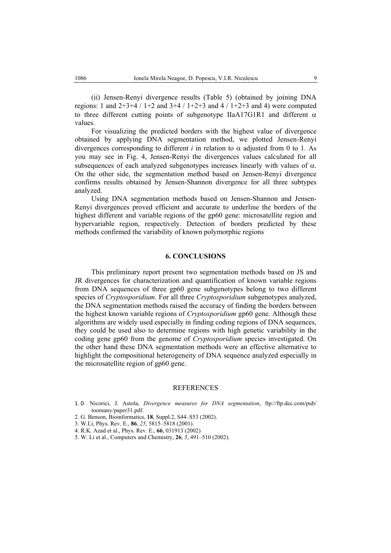(ii) Jensen-Renyi divergence results (Table 5) (obtained by joining DNA regions: 1 and  $2+3+4$  /  $1+2$  and  $3+4$  /  $1+2+3$  and  $4$  /  $1+2+3$  and 4) were computed to three different cutting points of subgenotype IIaA17G1R1 and different  $\alpha$ values.

For visualizing the predicted borders with the highest value of divergence obtained by applying DNA segmentation method, we plotted Jensen-Renyi divergences corresponding to different *i* in relation to  $\alpha$  adjusted from 0 to 1. As you may see in Fig. 4, Jensen-Renyi the divergences values calculated for all subsequences of each analyzed subgenotypes increases linearly with values of  $\alpha$ . On the other side, the segmentation method based on Jensen-Renyi divergence confirms results obtained by Jensen-Shannon divergence for all three subtypes analyzed.

Using DNA segmentation methods based on Jensen-Shannon and Jensen-Renyi divergences proved efficient and accurate to underline the borders of the highest different and variable regions of the gp60 gene: microsatellite region and hypervariable region, respectively. Detection of borders predicted by these methods confirmed the variability of known polymorphic regions

### **6. CONCLUSIONS**

This preliminary report present two segmentation methods based on JS and JR divergences for characterization and quantification of known variable regions from DNA sequences of three gp60 gene subgenotypes belong to two different species of *Cryptosporidium*. For all three *Cryptosporidium* subgenotypes analyzed, the DNA segmentation methods raised the accuracy of finding the borders between the highest known variable regions of *Cryptosporidium* gp60 gene. Although these algorithms are widely used especially in finding coding regions of DNA sequences, they could be used also to determine regions with high genetic variability in the coding gene gp60 from the genome of *Cryptosporidium* species investigated. On the other hand these DNA segmentation methods were an effective alternative to highlight the compositional heterogeneity of DNA sequence analyzed especially in the microsatellite region of gp60 gene.

### **REFERENCES**

- 1. D. Nicorici, J. Astola, *Divergence measures for DNA segmentation*, ftp://ftp.dec.com/pub/ toomany/paper31.pdf.
- 2. G. Benson, Bioinformatics, **18**, Suppl.2, S44–S53 (2002).
- 3. W.Li, Phys. Rev. E., **86**, *25*, 5815–5818 (2001).
- 4. R.K. Azad et al., Phys. Rev. E., **66**, 031913 (2002)
- 5. W. Li et al., Computers and Chemistry, **26**, *5*, 491–510 (2002).